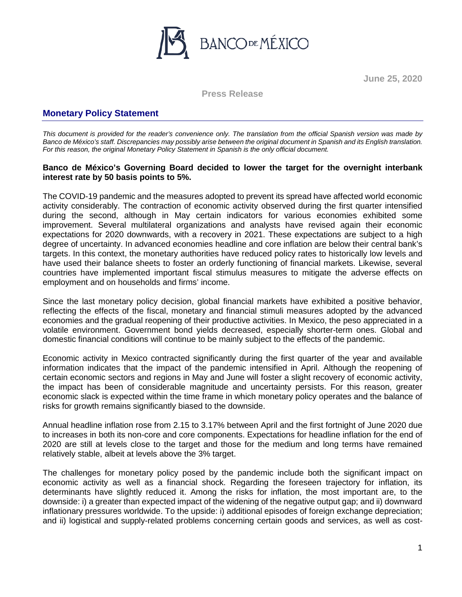

**June 25, 2020**

**Press Release**

## **Monetary Policy Statement**

*This document is provided for the reader's convenience only. The translation from the official Spanish version was made by Banco de México's staff. Discrepancies may possibly arise between the original document in Spanish and its English translation. For this reason, the original Monetary Policy Statement in Spanish is the only official document.*

## **Banco de México's Governing Board decided to lower the target for the overnight interbank interest rate by 50 basis points to 5%.**

The COVID-19 pandemic and the measures adopted to prevent its spread have affected world economic activity considerably. The contraction of economic activity observed during the first quarter intensified during the second, although in May certain indicators for various economies exhibited some improvement. Several multilateral organizations and analysts have revised again their economic expectations for 2020 downwards, with a recovery in 2021. These expectations are subject to a high degree of uncertainty. In advanced economies headline and core inflation are below their central bank's targets. In this context, the monetary authorities have reduced policy rates to historically low levels and have used their balance sheets to foster an orderly functioning of financial markets. Likewise, several countries have implemented important fiscal stimulus measures to mitigate the adverse effects on employment and on households and firms' income.

Since the last monetary policy decision, global financial markets have exhibited a positive behavior, reflecting the effects of the fiscal, monetary and financial stimuli measures adopted by the advanced economies and the gradual reopening of their productive activities. In Mexico, the peso appreciated in a volatile environment. Government bond yields decreased, especially shorter-term ones. Global and domestic financial conditions will continue to be mainly subject to the effects of the pandemic.

Economic activity in Mexico contracted significantly during the first quarter of the year and available information indicates that the impact of the pandemic intensified in April. Although the reopening of certain economic sectors and regions in May and June will foster a slight recovery of economic activity, the impact has been of considerable magnitude and uncertainty persists. For this reason, greater economic slack is expected within the time frame in which monetary policy operates and the balance of risks for growth remains significantly biased to the downside.

Annual headline inflation rose from 2.15 to 3.17% between April and the first fortnight of June 2020 due to increases in both its non-core and core components. Expectations for headline inflation for the end of 2020 are still at levels close to the target and those for the medium and long terms have remained relatively stable, albeit at levels above the 3% target.

The challenges for monetary policy posed by the pandemic include both the significant impact on economic activity as well as a financial shock. Regarding the foreseen trajectory for inflation, its determinants have slightly reduced it. Among the risks for inflation, the most important are, to the downside: i) a greater than expected impact of the widening of the negative output gap; and ii) downward inflationary pressures worldwide. To the upside: i) additional episodes of foreign exchange depreciation; and ii) logistical and supply-related problems concerning certain goods and services, as well as cost-